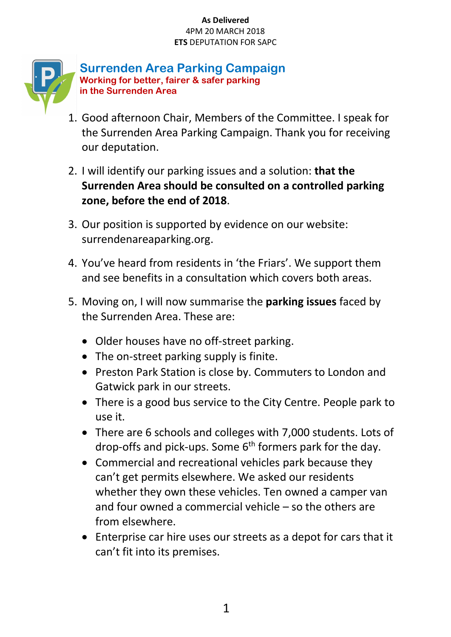

**Surrenden Area Parking Campaign Working for better, fairer & safer parking in the Surrenden Area**

- 1. Good afternoon Chair, Members of the Committee. I speak for the Surrenden Area Parking Campaign. Thank you for receiving our deputation.
- 2. I will identify our parking issues and a solution: **that the Surrenden Area should be consulted on a controlled parking zone, before the end of 2018**.
- 3. Our position is supported by evidence on our website: surrendenareaparking.org.
- 4. You've heard from residents in 'the Friars'. We support them and see benefits in a consultation which covers both areas.
- 5. Moving on, I will now summarise the **parking issues** faced by the Surrenden Area. These are:
	- Older houses have no off-street parking.
	- The on-street parking supply is finite.
	- Preston Park Station is close by. Commuters to London and Gatwick park in our streets.
	- There is a good bus service to the City Centre. People park to use it.
	- There are 6 schools and colleges with 7,000 students. Lots of drop-offs and pick-ups. Some  $6<sup>th</sup>$  formers park for the day.
	- Commercial and recreational vehicles park because they can't get permits elsewhere. We asked our residents whether they own these vehicles. Ten owned a camper van and four owned a commercial vehicle – so the others are from elsewhere.
	- Enterprise car hire uses our streets as a depot for cars that it can't fit into its premises.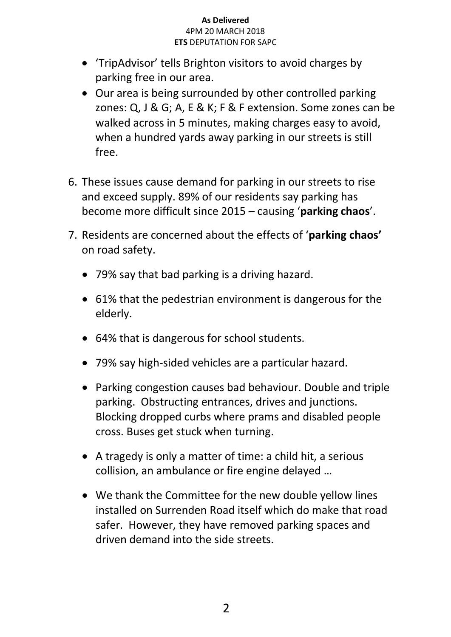- 'TripAdvisor' tells Brighton visitors to avoid charges by parking free in our area.
- Our area is being surrounded by other controlled parking zones: Q, J & G; A, E & K; F & F extension. Some zones can be walked across in 5 minutes, making charges easy to avoid, when a hundred yards away parking in our streets is still free.
- 6. These issues cause demand for parking in our streets to rise and exceed supply. 89% of our residents say parking has become more difficult since 2015 – causing '**parking chaos**'.
- 7. Residents are concerned about the effects of '**parking chaos'** on road safety.
	- 79% say that bad parking is a driving hazard.
	- 61% that the pedestrian environment is dangerous for the elderly.
	- 64% that is dangerous for school students.
	- 79% say high-sided vehicles are a particular hazard.
	- Parking congestion causes bad behaviour. Double and triple parking. Obstructing entrances, drives and junctions. Blocking dropped curbs where prams and disabled people cross. Buses get stuck when turning.
	- A tragedy is only a matter of time: a child hit, a serious collision, an ambulance or fire engine delayed …
	- We thank the Committee for the new double yellow lines installed on Surrenden Road itself which do make that road safer. However, they have removed parking spaces and driven demand into the side streets.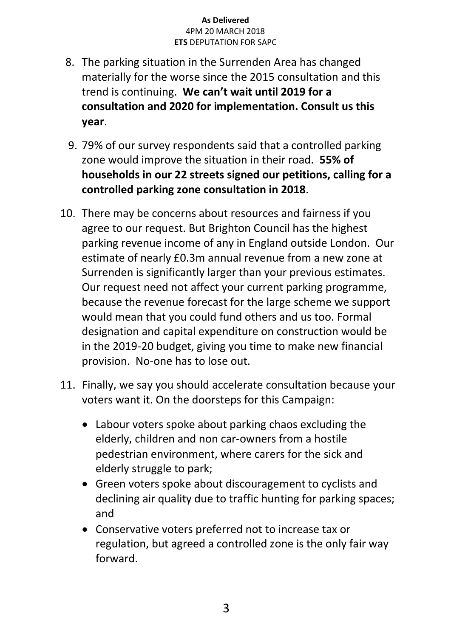- 8. The parking situation in the Surrenden Area has changed materially for the worse since the 2015 consultation and this trend is continuing. **We can't wait until 2019 for a consultation and 2020 for implementation. Consult us this year**.
- 9. 79% of our survey respondents said that a controlled parking zone would improve the situation in their road. **55% of households in our 22 streets signed our petitions, calling for a controlled parking zone consultation in 2018**.
- 10. There may be concerns about resources and fairness if you agree to our request. But Brighton Council has the highest parking revenue income of any in England outside London. Our estimate of nearly £0.3m annual revenue from a new zone at Surrenden is significantly larger than your previous estimates. Our request need not affect your current parking programme, because the revenue forecast for the large scheme we support would mean that you could fund others and us too. Formal designation and capital expenditure on construction would be in the 2019-20 budget, giving you time to make new financial provision. No-one has to lose out.
- 11. Finally, we say you should accelerate consultation because your voters want it. On the doorsteps for this Campaign:
	- Labour voters spoke about parking chaos excluding the elderly, children and non car-owners from a hostile pedestrian environment, where carers for the sick and elderly struggle to park;
	- Green voters spoke about discouragement to cyclists and declining air quality due to traffic hunting for parking spaces; and
	- Conservative voters preferred not to increase tax or regulation, but agreed a controlled zone is the only fair way forward.